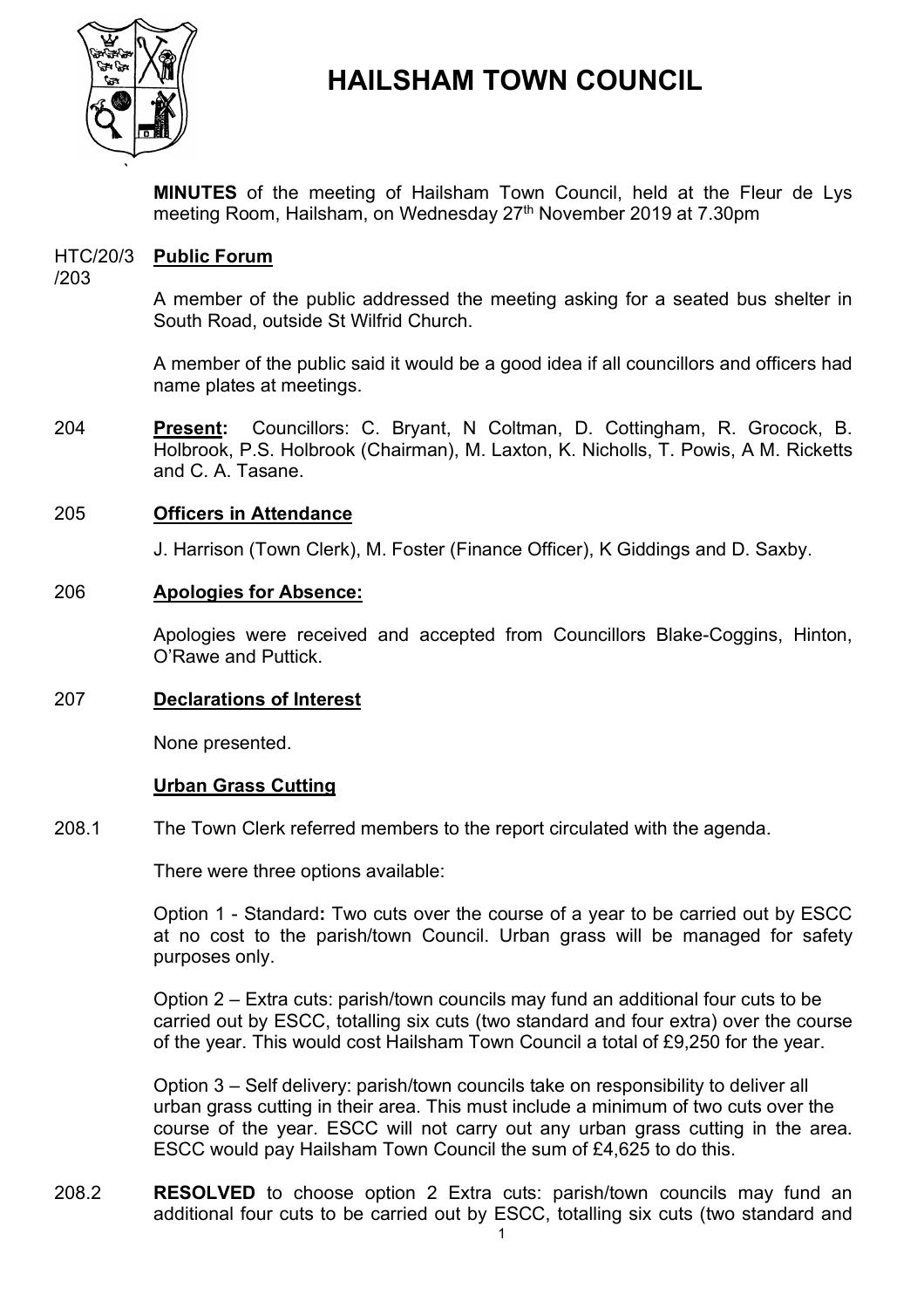

# **HAILSHAM TOWN COUNCIL**

**MINUTES** of the meeting of Hailsham Town Council, held at the Fleur de Lys meeting Room, Hailsham, on Wednesday 27 th November 2019 at 7.30pm

#### HTC/20/3 **Public Forum**

/203

A member of the public addressed the meeting asking for a seated bus shelter in South Road, outside St Wilfrid Church.

A member of the public said it would be a good idea if all councillors and officers had name plates at meetings.

204 **Present:** Councillors: C. Bryant, N Coltman, D. Cottingham, R. Grocock, B. Holbrook, P.S. Holbrook (Chairman), M. Laxton, K. Nicholls, T. Powis, A M. Ricketts and C. A. Tasane.

# 205 **Officers in Attendance**

J. Harrison (Town Clerk), M. Foster (Finance Officer), K Giddings and D. Saxby.

# 206 **Apologies for Absence:**

Apologies were received and accepted from Councillors Blake-Coggins, Hinton, O'Rawe and Puttick.

# 207 **Declarations of Interest**

None presented.

# **Urban Grass Cutting**

208.1 The Town Clerk referred members to the report circulated with the agenda.

There were three options available:

Option 1 - Standard**:** Two cuts over the course of a year to be carried out by ESCC at no cost to the parish/town Council. Urban grass will be managed for safety purposes only.

Option 2 – Extra cuts: parish/town councils may fund an additional four cuts to be carried out by ESCC, totalling six cuts (two standard and four extra) over the course of the year. This would cost Hailsham Town Council a total of £9,250 for the year.

Option 3 – Self delivery: parish/town councils take on responsibility to deliver all urban grass cutting in their area. This must include a minimum of two cuts over the course of the year. ESCC will not carry out any urban grass cutting in the area. ESCC would pay Hailsham Town Council the sum of £4,625 to do this.

208.2 **RESOLVED** to choose option 2 Extra cuts: parish/town councils may fund an additional four cuts to be carried out by ESCC, totalling six cuts (two standard and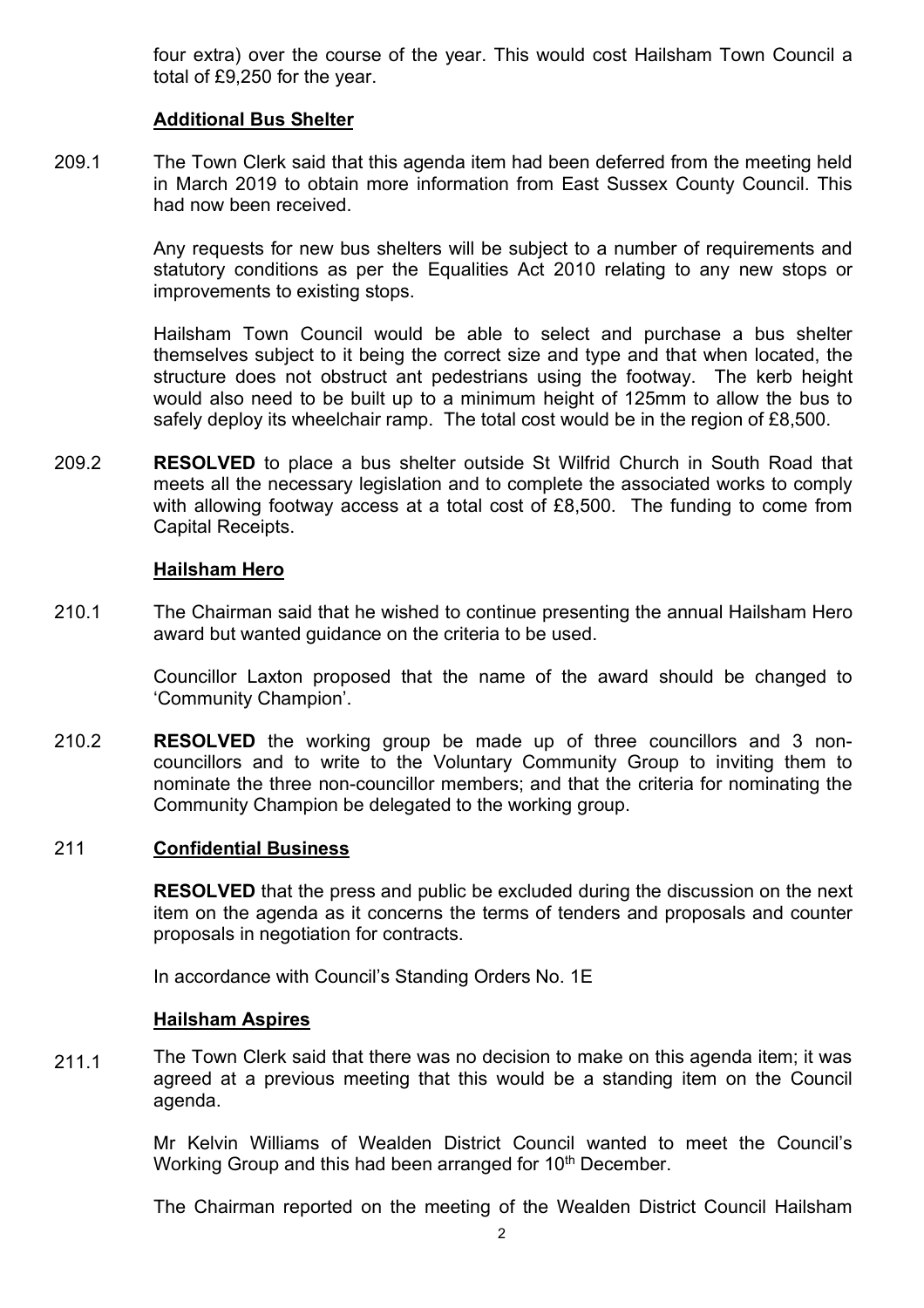four extra) over the course of the year. This would cost Hailsham Town Council a total of £9,250 for the year.

# **Additional Bus Shelter**

209.1 The Town Clerk said that this agenda item had been deferred from the meeting held in March 2019 to obtain more information from East Sussex County Council. This had now been received.

> Any requests for new bus shelters will be subject to a number of requirements and statutory conditions as per the Equalities Act 2010 relating to any new stops or improvements to existing stops.

> Hailsham Town Council would be able to select and purchase a bus shelter themselves subject to it being the correct size and type and that when located, the structure does not obstruct ant pedestrians using the footway. The kerb height would also need to be built up to a minimum height of 125mm to allow the bus to safely deploy its wheelchair ramp. The total cost would be in the region of £8,500.

209.2 **RESOLVED** to place a bus shelter outside St Wilfrid Church in South Road that meets all the necessary legislation and to complete the associated works to comply with allowing footway access at a total cost of £8,500. The funding to come from Capital Receipts.

#### **Hailsham Hero**

210.1 The Chairman said that he wished to continue presenting the annual Hailsham Hero award but wanted guidance on the criteria to be used.

> Councillor Laxton proposed that the name of the award should be changed to 'Community Champion'.

210.2 **RESOLVED** the working group be made up of three councillors and 3 noncouncillors and to write to the Voluntary Community Group to inviting them to nominate the three non-councillor members; and that the criteria for nominating the Community Champion be delegated to the working group.

#### 211 **Confidential Business**

**RESOLVED** that the press and public be excluded during the discussion on the next item on the agenda as it concerns the terms of tenders and proposals and counter proposals in negotiation for contracts.

In accordance with Council's Standing Orders No. 1E

#### **Hailsham Aspires**

211.1 The Town Clerk said that there was no decision to make on this agenda item; it was agreed at a previous meeting that this would be a standing item on the Council agenda.

> Mr Kelvin Williams of Wealden District Council wanted to meet the Council's Working Group and this had been arranged for 10<sup>th</sup> December.

> The Chairman reported on the meeting of the Wealden District Council Hailsham